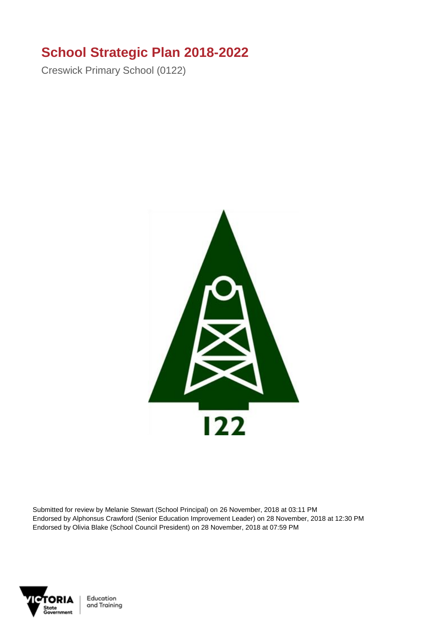## **School Strategic Plan 2018-2022**

Creswick Primary School (0122)



Submitted for review by Melanie Stewart (School Principal) on 26 November, 2018 at 03:11 PM Endorsed by Alphonsus Crawford (Senior Education Improvement Leader) on 28 November, 2018 at 12:30 PM Endorsed by Olivia Blake (School Council President) on 28 November, 2018 at 07:59 PM

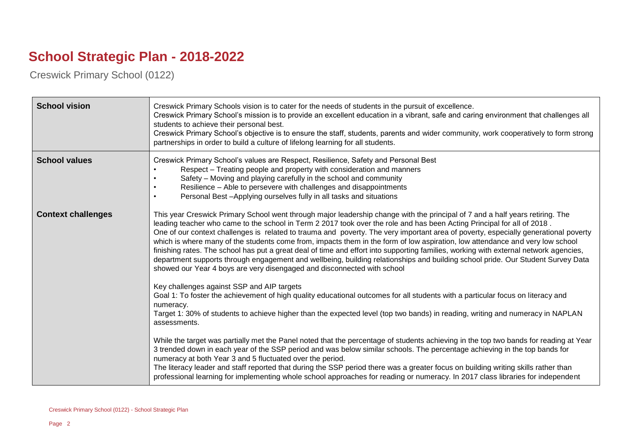## **School Strategic Plan - 2018-2022**

Creswick Primary School (0122)

| <b>School vision</b>      | Creswick Primary Schools vision is to cater for the needs of students in the pursuit of excellence.<br>Creswick Primary School's mission is to provide an excellent education in a vibrant, safe and caring environment that challenges all<br>students to achieve their personal best.<br>Creswick Primary School's objective is to ensure the staff, students, parents and wider community, work cooperatively to form strong<br>partnerships in order to build a culture of lifelong learning for all students.                                                                                                                                                                                                                                                                                                                                                                      |
|---------------------------|-----------------------------------------------------------------------------------------------------------------------------------------------------------------------------------------------------------------------------------------------------------------------------------------------------------------------------------------------------------------------------------------------------------------------------------------------------------------------------------------------------------------------------------------------------------------------------------------------------------------------------------------------------------------------------------------------------------------------------------------------------------------------------------------------------------------------------------------------------------------------------------------|
| <b>School values</b>      | Creswick Primary School's values are Respect, Resilience, Safety and Personal Best<br>Respect - Treating people and property with consideration and manners<br>Safety - Moving and playing carefully in the school and community<br>Resilience - Able to persevere with challenges and disappointments<br>Personal Best - Applying ourselves fully in all tasks and situations                                                                                                                                                                                                                                                                                                                                                                                                                                                                                                          |
| <b>Context challenges</b> | This year Creswick Primary School went through major leadership change with the principal of 7 and a half years retiring. The<br>leading teacher who came to the school in Term 2 2017 took over the role and has been Acting Principal for all of 2018.<br>One of our context challenges is related to trauma and poverty. The very important area of poverty, especially generational poverty<br>which is where many of the students come from, impacts them in the form of low aspiration, low attendance and very low school<br>finishing rates. The school has put a great deal of time and effort into supporting families, working with external network agencies,<br>department supports through engagement and wellbeing, building relationships and building school pride. Our Student Survey Data<br>showed our Year 4 boys are very disengaged and disconnected with school |
|                           | Key challenges against SSP and AIP targets<br>Goal 1: To foster the achievement of high quality educational outcomes for all students with a particular focus on literacy and<br>numeracy.<br>Target 1: 30% of students to achieve higher than the expected level (top two bands) in reading, writing and numeracy in NAPLAN<br>assessments.                                                                                                                                                                                                                                                                                                                                                                                                                                                                                                                                            |
|                           | While the target was partially met the Panel noted that the percentage of students achieving in the top two bands for reading at Year<br>3 trended down in each year of the SSP period and was below similar schools. The percentage achieving in the top bands for<br>numeracy at both Year 3 and 5 fluctuated over the period.<br>The literacy leader and staff reported that during the SSP period there was a greater focus on building writing skills rather than<br>professional learning for implementing whole school approaches for reading or numeracy. In 2017 class libraries for independent                                                                                                                                                                                                                                                                               |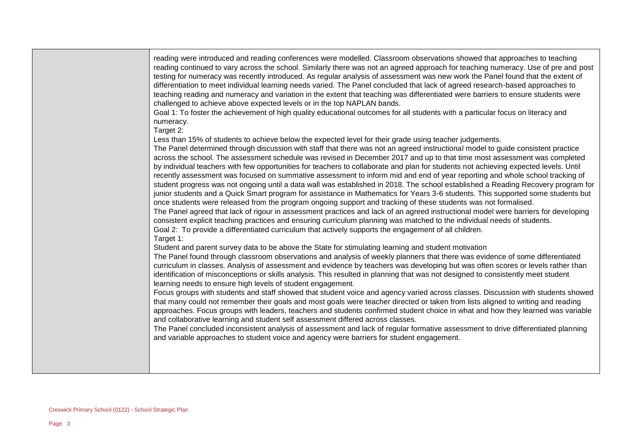reading were introduced and reading conferences were modelled. Classroom observations showed that approaches to teaching reading continued to vary across the school. Similarly there was not an agreed approach for teaching numeracy. Use of pre and post testing for numeracy was recently introduced. As regular analysis of assessment was new work the Panel found that the extent of differentiation to meet individual learning needs varied. The Panel concluded that lack of agreed research-based approaches to teaching reading and numeracy and variation in the extent that teaching was differentiated were barriers to ensure students were challenged to achieve above expected levels or in the top NAPLAN bands.

Goal 1: To foster the achievement of high quality educational outcomes for all students with a particular focus on literacy and numeracy.

Target 2:

Less than 15% of students to achieve below the expected level for their grade using teacher judgements.

The Panel determined through discussion with staff that there was not an agreed instructional model to guide consistent practice across the school. The assessment schedule was revised in December 2017 and up to that time most assessment was completed by individual teachers with few opportunities for teachers to collaborate and plan for students not achieving expected levels. Until recently assessment was focused on summative assessment to inform mid and end of year reporting and whole school tracking of student progress was not ongoing until a data wall was established in 2018. The school established a Reading Recovery program for junior students and a Quick Smart program for assistance in Mathematics for Years 3-6 students. This supported some students but once students were released from the program ongoing support and tracking of these students was not formalised.

The Panel agreed that lack of rigour in assessment practices and lack of an agreed instructional model were barriers for developing consistent explicit teaching practices and ensuring curriculum planning was matched to the individual needs of students.

Goal 2: To provide a differentiated curriculum that actively supports the engagement of all children.

Target 1:

Student and parent survey data to be above the State for stimulating learning and student motivation

The Panel found through classroom observations and analysis of weekly planners that there was evidence of some differentiated curriculum in classes. Analysis of assessment and evidence by teachers was developing but was often scores or levels rather than identification of misconceptions or skills analysis. This resulted in planning that was not designed to consistently meet student learning needs to ensure high levels of student engagement.

Focus groups with students and staff showed that student voice and agency varied across classes. Discussion with students showed that many could not remember their goals and most goals were teacher directed or taken from lists aligned to writing and reading approaches. Focus groups with leaders, teachers and students confirmed student choice in what and how they learned was variable and collaborative learning and student self assessment differed across classes.

The Panel concluded inconsistent analysis of assessment and lack of regular formative assessment to drive differentiated planning and variable approaches to student voice and agency were barriers for student engagement.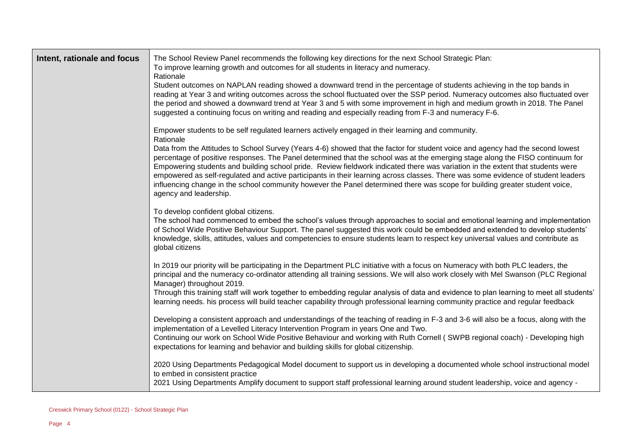| Intent, rationale and focus | The School Review Panel recommends the following key directions for the next School Strategic Plan:<br>To improve learning growth and outcomes for all students in literacy and numeracy.<br>Rationale<br>Student outcomes on NAPLAN reading showed a downward trend in the percentage of students achieving in the top bands in<br>reading at Year 3 and writing outcomes across the school fluctuated over the SSP period. Numeracy outcomes also fluctuated over<br>the period and showed a downward trend at Year 3 and 5 with some improvement in high and medium growth in 2018. The Panel<br>suggested a continuing focus on writing and reading and especially reading from F-3 and numeracy F-6.                                                                                                       |
|-----------------------------|-----------------------------------------------------------------------------------------------------------------------------------------------------------------------------------------------------------------------------------------------------------------------------------------------------------------------------------------------------------------------------------------------------------------------------------------------------------------------------------------------------------------------------------------------------------------------------------------------------------------------------------------------------------------------------------------------------------------------------------------------------------------------------------------------------------------|
|                             | Empower students to be self regulated learners actively engaged in their learning and community.<br>Rationale<br>Data from the Attitudes to School Survey (Years 4-6) showed that the factor for student voice and agency had the second lowest<br>percentage of positive responses. The Panel determined that the school was at the emerging stage along the FISO continuum for<br>Empowering students and building school pride. Review fieldwork indicated there was variation in the extent that students were<br>empowered as self-regulated and active participants in their learning across classes. There was some evidence of student leaders<br>influencing change in the school community however the Panel determined there was scope for building greater student voice,<br>agency and leadership. |
|                             | To develop confident global citizens.<br>The school had commenced to embed the school's values through approaches to social and emotional learning and implementation<br>of School Wide Positive Behaviour Support. The panel suggested this work could be embedded and extended to develop students'<br>knowledge, skills, attitudes, values and competencies to ensure students learn to respect key universal values and contribute as<br>global citizens                                                                                                                                                                                                                                                                                                                                                    |
|                             | In 2019 our priority will be participating in the Department PLC initiative with a focus on Numeracy with both PLC leaders, the<br>principal and the numeracy co-ordinator attending all training sessions. We will also work closely with Mel Swanson (PLC Regional<br>Manager) throughout 2019.<br>Through this training staff will work together to embedding regular analysis of data and evidence to plan learning to meet all students'<br>learning needs. his process will build teacher capability through professional learning community practice and regular feedback                                                                                                                                                                                                                                |
|                             | Developing a consistent approach and understandings of the teaching of reading in F-3 and 3-6 will also be a focus, along with the<br>implementation of a Levelled Literacy Intervention Program in years One and Two.<br>Continuing our work on School Wide Positive Behaviour and working with Ruth Cornell (SWPB regional coach) - Developing high<br>expectations for learning and behavior and building skills for global citizenship.                                                                                                                                                                                                                                                                                                                                                                     |
|                             | 2020 Using Departments Pedagogical Model document to support us in developing a documented whole school instructional model<br>to embed in consistent practice<br>2021 Using Departments Amplify document to support staff professional learning around student leadership, voice and agency -                                                                                                                                                                                                                                                                                                                                                                                                                                                                                                                  |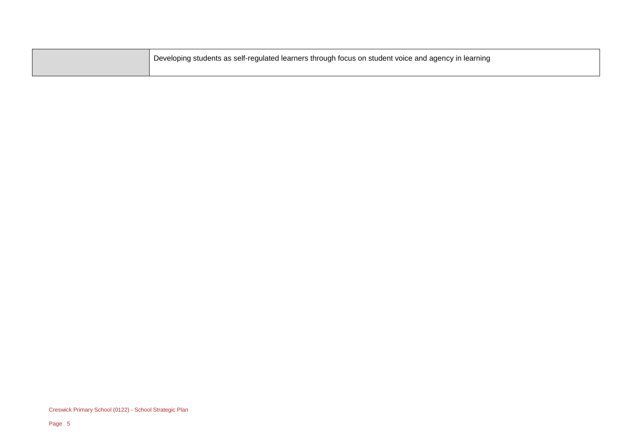| Developing students as self-regulated learners through focus on student voice and agency in learning |
|------------------------------------------------------------------------------------------------------|
|                                                                                                      |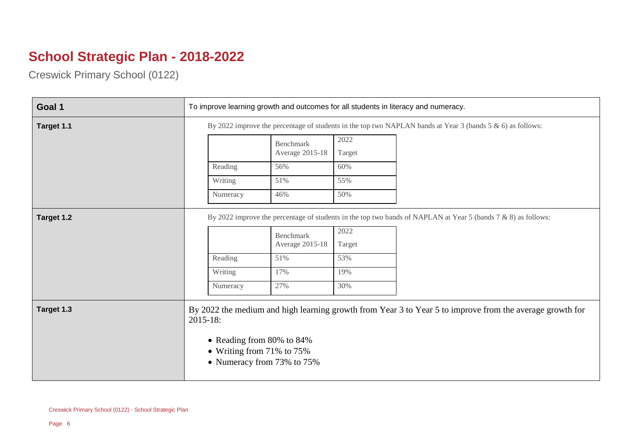## **School Strategic Plan - 2018-2022**

Creswick Primary School (0122)

| Goal 1     | To improve learning growth and outcomes for all students in literacy and numeracy.                         |                                     |                |                                                                                                                  |
|------------|------------------------------------------------------------------------------------------------------------|-------------------------------------|----------------|------------------------------------------------------------------------------------------------------------------|
| Target 1.1 | By 2022 improve the percentage of students in the top two NAPLAN bands at Year 3 (bands 5 & 6) as follows: |                                     |                |                                                                                                                  |
|            |                                                                                                            | <b>Benchmark</b><br>Average 2015-18 | 2022<br>Target |                                                                                                                  |
|            | Reading                                                                                                    | 56%                                 | 60%            |                                                                                                                  |
|            | Writing                                                                                                    | 51%                                 | 55%            |                                                                                                                  |
|            | Numeracy                                                                                                   | 46%                                 | 50%            |                                                                                                                  |
| Target 1.2 |                                                                                                            | <b>Benchmark</b><br>Average 2015-18 | 2022<br>Target | By 2022 improve the percentage of students in the top two bands of NAPLAN at Year 5 (bands $7 & 8$ ) as follows: |
|            | Reading                                                                                                    | 51%                                 | 53%            |                                                                                                                  |
|            | Writing                                                                                                    | 17%                                 | 19%            |                                                                                                                  |
|            | Numeracy                                                                                                   | 27%                                 | 30%            |                                                                                                                  |
| Target 1.3 | $2015 - 18:$<br>• Reading from 80% to 84%<br>• Writing from $71\%$ to $75\%$<br>• Numeracy from 73% to 75% |                                     |                | By 2022 the medium and high learning growth from Year 3 to Year 5 to improve from the average growth for         |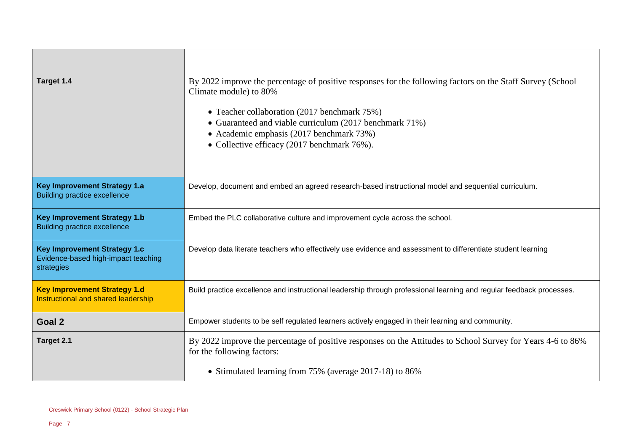| Target 1.4                                                                               | By 2022 improve the percentage of positive responses for the following factors on the Staff Survey (School<br>Climate module) to 80%<br>• Teacher collaboration (2017 benchmark 75%)<br>• Guaranteed and viable curriculum (2017 benchmark 71%)<br>• Academic emphasis (2017 benchmark 73%)<br>• Collective efficacy (2017 benchmark 76%). |
|------------------------------------------------------------------------------------------|--------------------------------------------------------------------------------------------------------------------------------------------------------------------------------------------------------------------------------------------------------------------------------------------------------------------------------------------|
| <b>Key Improvement Strategy 1.a</b><br><b>Building practice excellence</b>               | Develop, document and embed an agreed research-based instructional model and sequential curriculum.                                                                                                                                                                                                                                        |
| <b>Key Improvement Strategy 1.b</b><br><b>Building practice excellence</b>               | Embed the PLC collaborative culture and improvement cycle across the school.                                                                                                                                                                                                                                                               |
| <b>Key Improvement Strategy 1.c</b><br>Evidence-based high-impact teaching<br>strategies | Develop data literate teachers who effectively use evidence and assessment to differentiate student learning                                                                                                                                                                                                                               |
| <b>Key Improvement Strategy 1.d</b><br>Instructional and shared leadership               | Build practice excellence and instructional leadership through professional learning and regular feedback processes.                                                                                                                                                                                                                       |
| Goal 2                                                                                   | Empower students to be self regulated learners actively engaged in their learning and community.                                                                                                                                                                                                                                           |
| Target 2.1                                                                               | By 2022 improve the percentage of positive responses on the Attitudes to School Survey for Years 4-6 to 86%<br>for the following factors:<br>• Stimulated learning from 75% (average 2017-18) to 86%                                                                                                                                       |
|                                                                                          |                                                                                                                                                                                                                                                                                                                                            |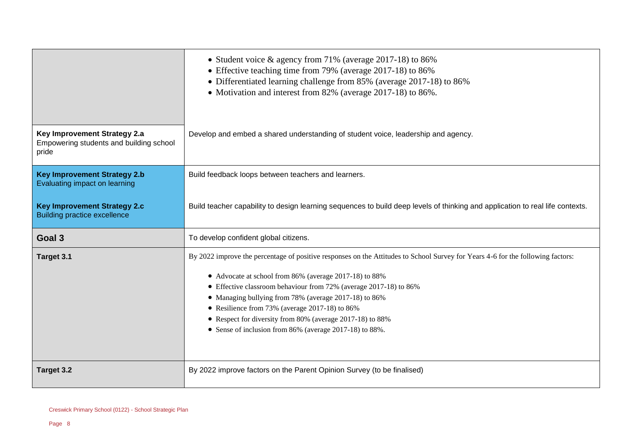|                                                                                  | • Student voice & agency from 71% (average 2017-18) to 86%<br>• Effective teaching time from 79% (average 2017-18) to 86%<br>• Differentiated learning challenge from 85% (average 2017-18) to 86%<br>• Motivation and interest from 82% (average 2017-18) to 86%.                                                                                                                                                                                                                                |
|----------------------------------------------------------------------------------|---------------------------------------------------------------------------------------------------------------------------------------------------------------------------------------------------------------------------------------------------------------------------------------------------------------------------------------------------------------------------------------------------------------------------------------------------------------------------------------------------|
| Key Improvement Strategy 2.a<br>Empowering students and building school<br>pride | Develop and embed a shared understanding of student voice, leadership and agency.                                                                                                                                                                                                                                                                                                                                                                                                                 |
| <b>Key Improvement Strategy 2.b</b><br>Evaluating impact on learning             | Build feedback loops between teachers and learners.                                                                                                                                                                                                                                                                                                                                                                                                                                               |
| <b>Key Improvement Strategy 2.c</b><br><b>Building practice excellence</b>       | Build teacher capability to design learning sequences to build deep levels of thinking and application to real life contexts.                                                                                                                                                                                                                                                                                                                                                                     |
| Goal 3                                                                           | To develop confident global citizens.                                                                                                                                                                                                                                                                                                                                                                                                                                                             |
| Target 3.1                                                                       | By 2022 improve the percentage of positive responses on the Attitudes to School Survey for Years 4-6 for the following factors:<br>• Advocate at school from 86% (average 2017-18) to 88%<br>• Effective classroom behaviour from 72% (average 2017-18) to 86%<br>• Managing bullying from 78% (average 2017-18) to 86%<br>• Resilience from 73% (average 2017-18) to 86%<br>• Respect for diversity from 80% (average 2017-18) to 88%<br>• Sense of inclusion from 86% (average 2017-18) to 88%. |
| Target 3.2                                                                       | By 2022 improve factors on the Parent Opinion Survey (to be finalised)                                                                                                                                                                                                                                                                                                                                                                                                                            |